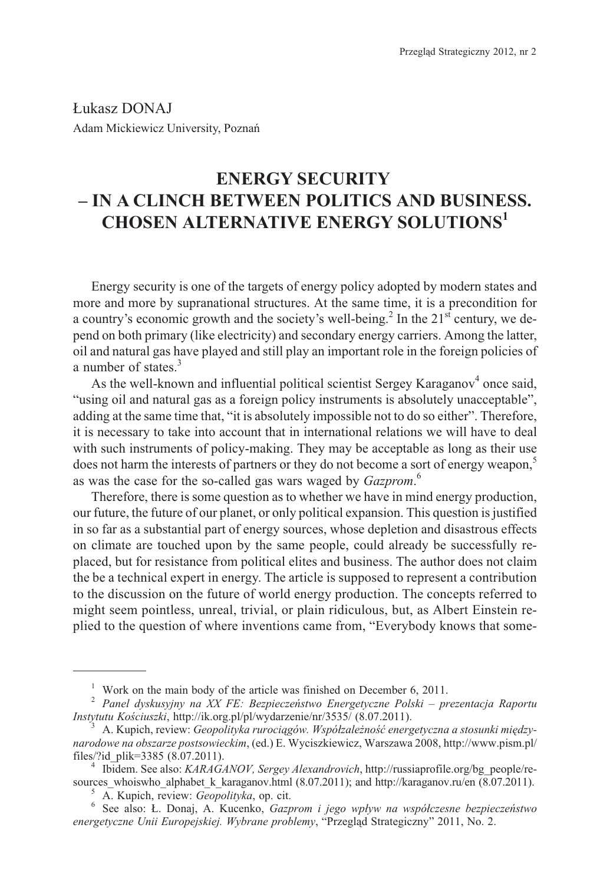£ukasz DONAJ Adam Mickiewicz University, Poznañ

## **ENERGY SECURITY – IN A CLINCH BETWEEN POLITICS AND BUSINESS. CHOSEN ALTERNATIVE ENERGY SOLUTIONS<sup>1</sup>**

Energy security is one of the targets of energy policy adopted by modern states and more and more by supranational structures. At the same time, it is a precondition for a country's economic growth and the society's well-being.<sup>2</sup> In the  $21<sup>st</sup>$  century, we depend on both primary (like electricity) and secondary energy carriers. Among the latter, oil and natural gas have played and still play an important role in the foreign policies of a number of states.<sup>3</sup>

As the well-known and influential political scientist Sergey Karaganov<sup>4</sup> once said, "using oil and natural gas as a foreign policy instruments is absolutely unacceptable", adding at the same time that, "it is absolutely impossible not to do so either". Therefore, it is necessary to take into account that in international relations we will have to deal with such instruments of policy-making. They may be acceptable as long as their use does not harm the interests of partners or they do not become a sort of energy weapon,<sup>5</sup> as was the case for the so-called gas wars waged by *Gazprom*. 6

Therefore, there is some question as to whether we have in mind energy production, our future, the future of our planet, or only political expansion. This question is justified in so far as a substantial part of energy sources, whose depletion and disastrous effects on climate are touched upon by the same people, could already be successfully replaced, but for resistance from political elites and business. The author does not claim the be a technical expert in energy. The article is supposed to represent a contribution to the discussion on the future of world energy production. The concepts referred to might seem pointless, unreal, trivial, or plain ridiculous, but, as Albert Einstein replied to the question of where inventions came from, "Everybody knows that some-

*energetyczne Unii Europejskiej. Wybrane problemy*, "Przegląd Strategiczny" 2011, No. 2.

<sup>&</sup>lt;sup>1</sup> Work on the main body of the article was finished on December 6, 2011.<br><sup>2</sup> *Panel dyskusyjny na XX FE: Bezpieczeństwo Energetyczne Polski – prezentacja Raportu Instytutu Kościuszki*, http://ik.org.pl/pl/wydarzenie/nr/3535/ (8.07.2011).<br><sup>3</sup> A. Kupich, review: *Geopolityka rurociagów. Współzależność energetyczna a stosunki miedzy-*

*narodowe na obszarze postsowieckim*, (ed.) E. Wyciszkiewicz, Warszawa 2008, http://www.pism.pl/

<sup>&</sup>lt;sup>4</sup> Ibidem. See also: *KARAGANOV, Sergey Alexandrovich*, http://russiaprofile.org/bg\_people/resources\_whoiswho\_alphabet\_k\_karaganov.html (8.07.2011); and http://karaganov.ru/en (8.07.2011).<br>
<sup>5</sup> A. Kupich, review: *Geopolityka*, op. cit.<br>
<sup>6</sup> See also: Ł. Donaj, A. Kucenko, *Gazprom i jego wpływ na współczesne bezp*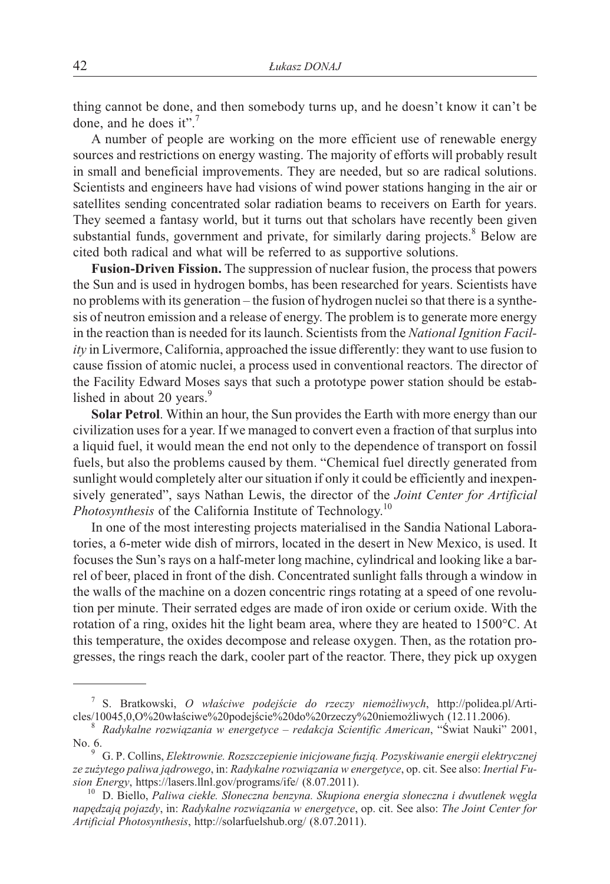thing cannot be done, and then somebody turns up, and he doesn't know it can't be done, and he does it".<sup>7</sup>

A number of people are working on the more efficient use of renewable energy sources and restrictions on energy wasting. The majority of efforts will probably result in small and beneficial improvements. They are needed, but so are radical solutions. Scientists and engineers have had visions of wind power stations hanging in the air or satellites sending concentrated solar radiation beams to receivers on Earth for years. They seemed a fantasy world, but it turns out that scholars have recently been given substantial funds, government and private, for similarly daring projects.<sup>8</sup> Below are cited both radical and what will be referred to as supportive solutions.

**Fusion-Driven Fission.** The suppression of nuclear fusion, the process that powers the Sun and is used in hydrogen bombs, has been researched for years. Scientists have no problems with its generation – the fusion of hydrogen nuclei so that there is a synthesis of neutron emission and a release of energy. The problem is to generate more energy in the reaction than is needed for its launch. Scientists from the *National Ignition Facility* in Livermore, California, approached the issue differently: they want to use fusion to cause fission of atomic nuclei, a process used in conventional reactors. The director of the Facility Edward Moses says that such a prototype power station should be established in about 20 years. $9$ 

**Solar Petrol**. Within an hour, the Sun provides the Earth with more energy than our civilization uses for a year. If we managed to convert even a fraction of that surplus into a liquid fuel, it would mean the end not only to the dependence of transport on fossil fuels, but also the problems caused by them. "Chemical fuel directly generated from sunlight would completely alter our situation if only it could be efficiently and inexpensively generated", says Nathan Lewis, the director of the *Joint Center for Artificial Photosynthesis* of the California Institute of Technology.<sup>10</sup>

In one of the most interesting projects materialised in the Sandia National Laboratories, a 6-meter wide dish of mirrors, located in the desert in New Mexico, is used. It focuses the Sun's rays on a half-meter long machine, cylindrical and looking like a barrel of beer, placed in front of the dish. Concentrated sunlight falls through a window in the walls of the machine on a dozen concentric rings rotating at a speed of one revolution per minute. Their serrated edges are made of iron oxide or cerium oxide. With the rotation of a ring, oxides hit the light beam area, where they are heated to 1500°C. At this temperature, the oxides decompose and release oxygen. Then, as the rotation progresses, the rings reach the dark, cooler part of the reactor. There, they pick up oxygen

<sup>&</sup>lt;sup>7</sup> S. Bratkowski, *O właściwe podejście do rzeczy niemożliwych*, http://polidea.pl/Articles/10045,0,O%20właściwe%20podejście%20do%20rzeczy%20niemożliwych (12.11.2006).<br><sup>8</sup> *Radykalne rozwiazania w energetyce – redakcja Scientific American*, "Świat Nauki" 2001,

No. 6. <sup>9</sup> G. P. Collins, *Elektrownie. Rozszczepienie inicjowane fuzj¹. Pozyskiwanie energii elektrycznej*

ze zużytego paliwa jądrowego, in: *Radykalne rozwiązania w energetyce*, op. cit. See also: *Inertial Fusion Energy*, https://lasers.llnl.gov/programs/ife/ (8.07.2011).<br><sup>10</sup> D. Biello, *Paliwa ciekłe. Słoneczna benzyna. Skupiona energia słoneczna i dwutlenek węgla* 

*napêdzaj¹ pojazdy*, in: *Radykalne rozwi¹zania w energetyce*, op. cit. See also: *The Joint Center for Artificial Photosynthesis*, http://solarfuelshub.org/ (8.07.2011).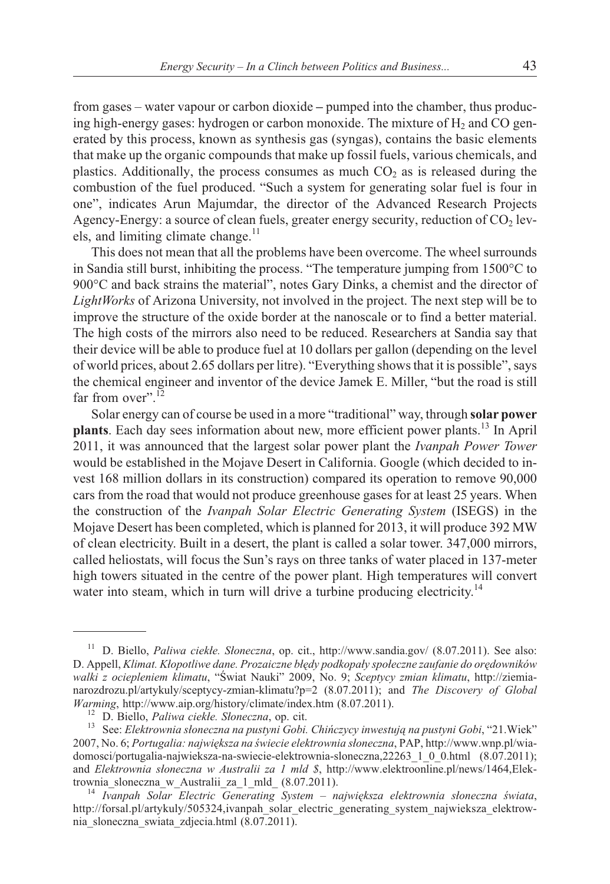from gases – water vapour or carbon dioxide **–** pumped into the chamber, thus producing high-energy gases: hydrogen or carbon monoxide. The mixture of  $H<sub>2</sub>$  and CO generated by this process, known as synthesis gas (syngas), contains the basic elements that make up the organic compounds that make up fossil fuels, various chemicals, and plastics. Additionally, the process consumes as much  $CO<sub>2</sub>$  as is released during the combustion of the fuel produced. "Such a system for generating solar fuel is four in one", indicates Arun Majumdar, the director of the Advanced Research Projects Agency-Energy: a source of clean fuels, greater energy security, reduction of  $CO<sub>2</sub>$  levels, and limiting climate change.<sup>11</sup>

This does not mean that all the problems have been overcome. The wheel surrounds in Sandia still burst, inhibiting the process. "The temperature jumping from 1500°C to 900°C and back strains the material", notes Gary Dinks, a chemist and the director of *LightWorks* of Arizona University, not involved in the project. The next step will be to improve the structure of the oxide border at the nanoscale or to find a better material. The high costs of the mirrors also need to be reduced. Researchers at Sandia say that their device will be able to produce fuel at 10 dollars per gallon (depending on the level of world prices, about 2.65 dollars per litre). "Everything shows that it is possible", says the chemical engineer and inventor of the device Jamek E. Miller, "but the road is still far from over".  $12$ 

Solar energy can of course be used in a more "traditional" way, through **solar power plants**. Each day sees information about new, more efficient power plants.<sup>13</sup> In April 2011, it was announced that the largest solar power plant the *Ivanpah Power Tower* would be established in the Mojave Desert in California. Google (which decided to invest 168 million dollars in its construction) compared its operation to remove 90,000 cars from the road that would not produce greenhouse gases for at least 25 years. When the construction of the *Ivanpah Solar Electric Generating System* (ISEGS) in the Mojave Desert has been completed, which is planned for 2013, it will produce 392 MW of clean electricity. Built in a desert, the plant is called a solar tower. 347,000 mirrors, called heliostats, will focus the Sun's rays on three tanks of water placed in 137-meter high towers situated in the centre of the power plant. High temperatures will convert water into steam, which in turn will drive a turbine producing electricity.<sup>14</sup>

<sup>&</sup>lt;sup>11</sup> D. Biello, *Paliwa ciekłe. Słoneczna*, op. cit., http://www.sandia.gov/ (8.07.2011). See also: D. Appell, *Klimat. Kłopotliwe dane. Prozaiczne błędy podkopały społeczne zaufanie do orędowników walki z ociepleniem klimatu*, "Œwiat Nauki" 2009, No. 9; *Sceptycy zmian klimatu*, http://ziemianarozdrozu.pl/artykuly/sceptycy-zmian-klimatu?p=2 (8.07.2011); and *The Discovery of Global*

<sup>&</sup>lt;sup>12</sup> D. Biello, *Paliwa ciekłe. Słoneczna*, op. cit.<br><sup>13</sup> See: *Elektrownia słoneczna na pustyni Gobi. Chińczycy inwestują na pustyni Gobi*, "21. Wiek" 2007, No. 6; *Portugalia: najwieksza na świecie elektrownia słoneczna*, PAP, http://www.wnp.pl/wiadomosci/portugalia-najwieksza-na-swiecie-elektrownia-sloneczna,22263\_1\_0\_0.html (8.07.2011); and *Elektrownia słoneczna w Australii za 1 mld \$*, http://www.elektroonline.pl/news/1464,Elektrownia\_sloneczna\_w\_Australii\_za\_1\_mld\_ (8.07.2011).<br><sup>14</sup> *Ivanpah Solar Electric Generating System – największa elektrownia słoneczna świata*,

http://forsal.pl/artykuly/505324,ivanpah\_solar\_electric\_generating\_system\_najwieksza\_elektrownia\_sloneczna\_swiata\_zdjecia.html (8.07.2011).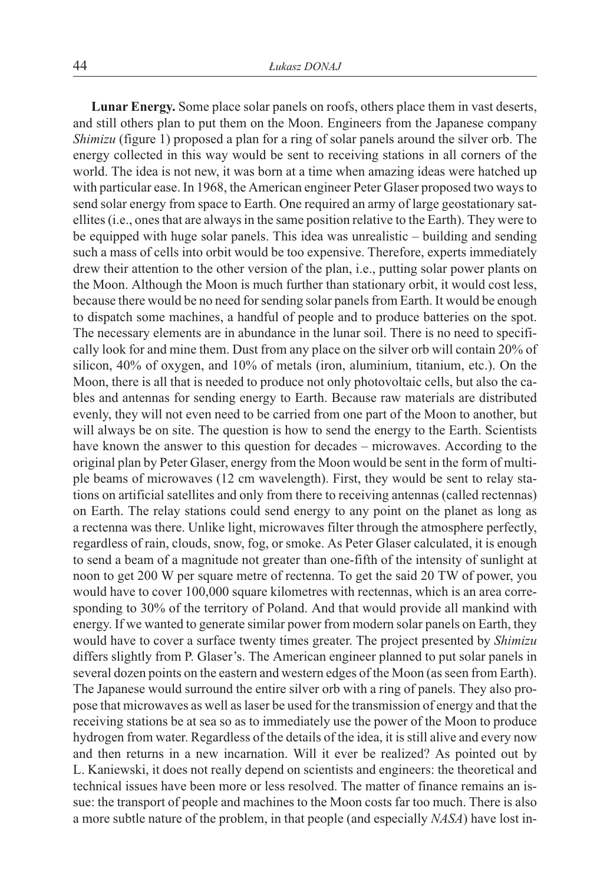**Lunar Energy.** Some place solar panels on roofs, others place them in vast deserts, and still others plan to put them on the Moon. Engineers from the Japanese company *Shimizu* (figure 1) proposed a plan for a ring of solar panels around the silver orb. The energy collected in this way would be sent to receiving stations in all corners of the world. The idea is not new, it was born at a time when amazing ideas were hatched up with particular ease. In 1968, the American engineer Peter Glaser proposed two ways to send solar energy from space to Earth. One required an army of large geostationary satellites (i.e., ones that are always in the same position relative to the Earth). They were to be equipped with huge solar panels. This idea was unrealistic – building and sending such a mass of cells into orbit would be too expensive. Therefore, experts immediately drew their attention to the other version of the plan, i.e., putting solar power plants on the Moon. Although the Moon is much further than stationary orbit, it would cost less, because there would be no need for sending solar panels from Earth. It would be enough to dispatch some machines, a handful of people and to produce batteries on the spot. The necessary elements are in abundance in the lunar soil. There is no need to specifically look for and mine them. Dust from any place on the silver orb will contain 20% of silicon, 40% of oxygen, and 10% of metals (iron, aluminium, titanium, etc.). On the Moon, there is all that is needed to produce not only photovoltaic cells, but also the cables and antennas for sending energy to Earth. Because raw materials are distributed evenly, they will not even need to be carried from one part of the Moon to another, but will always be on site. The question is how to send the energy to the Earth. Scientists have known the answer to this question for decades – microwaves. According to the original plan by Peter Glaser, energy from the Moon would be sent in the form of multiple beams of microwaves (12 cm wavelength). First, they would be sent to relay stations on artificial satellites and only from there to receiving antennas (called rectennas) on Earth. The relay stations could send energy to any point on the planet as long as a rectenna was there. Unlike light, microwaves filter through the atmosphere perfectly, regardless of rain, clouds, snow, fog, or smoke. As Peter Glaser calculated, it is enough to send a beam of a magnitude not greater than one-fifth of the intensity of sunlight at noon to get 200 W per square metre of rectenna. To get the said 20 TW of power, you would have to cover 100,000 square kilometres with rectennas, which is an area corresponding to 30% of the territory of Poland. And that would provide all mankind with energy. If we wanted to generate similar power from modern solar panels on Earth, they would have to cover a surface twenty times greater. The project presented by *Shimizu* differs slightly from P. Glaser's. The American engineer planned to put solar panels in several dozen points on the eastern and western edges of the Moon (as seen from Earth). The Japanese would surround the entire silver orb with a ring of panels. They also propose that microwaves as well as laser be used for the transmission of energy and that the receiving stations be at sea so as to immediately use the power of the Moon to produce hydrogen from water. Regardless of the details of the idea, it is still alive and every now and then returns in a new incarnation. Will it ever be realized? As pointed out by L. Kaniewski, it does not really depend on scientists and engineers: the theoretical and technical issues have been more or less resolved. The matter of finance remains an issue: the transport of people and machines to the Moon costs far too much. There is also a more subtle nature of the problem, in that people (and especially *NASA*) have lost in-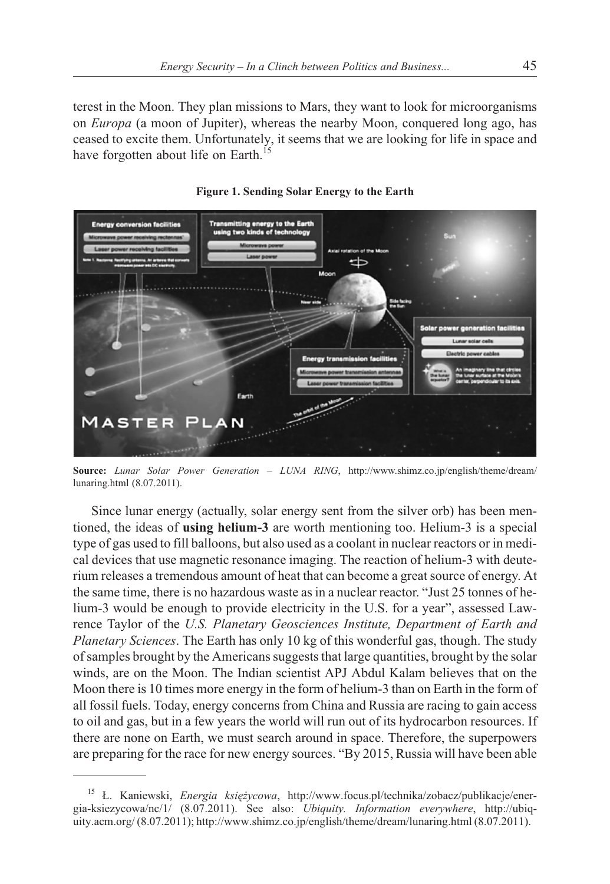terest in the Moon. They plan missions to Mars, they want to look for microorganisms on *Europa* (a moon of Jupiter), whereas the nearby Moon, conquered long ago, has ceased to excite them. Unfortunately, it seems that we are looking for life in space and have forgotten about life on Earth.<sup>15</sup>



**Figure 1. Sending Solar Energy to the Earth**

**Source:** *Lunar Solar Power Generation – LUNA RING*, http://www.shimz.co.jp/english/theme/dream/ lunaring.html (8.07.2011).

Since lunar energy (actually, solar energy sent from the silver orb) has been mentioned, the ideas of **using helium-3** are worth mentioning too. Helium-3 is a special type of gas used to fill balloons, but also used as a coolant in nuclear reactors or in medical devices that use magnetic resonance imaging. The reaction of helium-3 with deuterium releases a tremendous amount of heat that can become a great source of energy. At the same time, there is no hazardous waste as in a nuclear reactor. "Just 25 tonnes of helium-3 would be enough to provide electricity in the U.S. for a year", assessed Lawrence Taylor of the *U.S. Planetary Geosciences Institute, Department of Earth and Planetary Sciences*. The Earth has only 10 kg of this wonderful gas, though. The study of samples brought by the Americans suggests that large quantities, brought by the solar winds, are on the Moon. The Indian scientist APJ Abdul Kalam believes that on the Moon there is 10 times more energy in the form of helium-3 than on Earth in the form of all fossil fuels. Today, energy concerns from China and Russia are racing to gain access to oil and gas, but in a few years the world will run out of its hydrocarbon resources. If there are none on Earth, we must search around in space. Therefore, the superpowers are preparing for the race for new energy sources. "By 2015, Russia will have been able

<sup>15</sup> £. Kaniewski, *Energia ksiê¿ycowa*, http://www.focus.pl/technika/zobacz/publikacje/energia-ksiezycowa/nc/1/ (8.07.2011). See also: *Ubiquity. Information everywhere*, http://ubiquity.acm.org/ (8.07.2011); http://www.shimz.co.jp/english/theme/dream/lunaring.html (8.07.2011).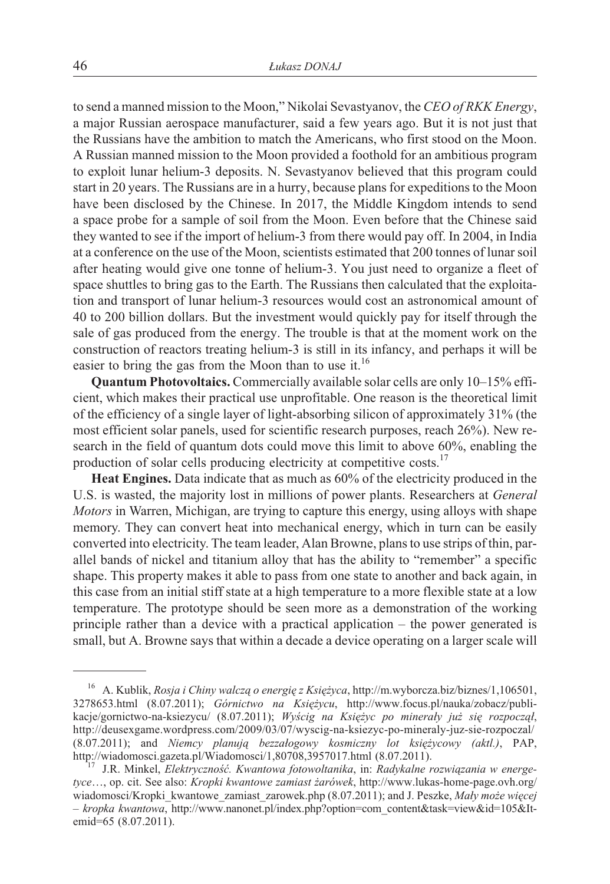to send a manned mission to the Moon," Nikolai Sevastyanov, the *CEO of RKK Energy*, a major Russian aerospace manufacturer, said a few years ago. But it is not just that the Russians have the ambition to match the Americans, who first stood on the Moon. A Russian manned mission to the Moon provided a foothold for an ambitious program to exploit lunar helium-3 deposits. N. Sevastyanov believed that this program could start in 20 years. The Russians are in a hurry, because plans for expeditions to the Moon have been disclosed by the Chinese. In 2017, the Middle Kingdom intends to send a space probe for a sample of soil from the Moon. Even before that the Chinese said they wanted to see if the import of helium-3 from there would pay off. In 2004, in India at a conference on the use of the Moon, scientists estimated that 200 tonnes of lunar soil after heating would give one tonne of helium-3. You just need to organize a fleet of space shuttles to bring gas to the Earth. The Russians then calculated that the exploitation and transport of lunar helium-3 resources would cost an astronomical amount of 40 to 200 billion dollars. But the investment would quickly pay for itself through the sale of gas produced from the energy. The trouble is that at the moment work on the construction of reactors treating helium-3 is still in its infancy, and perhaps it will be easier to bring the gas from the Moon than to use it.<sup>16</sup>

**Quantum Photovoltaics.** Commercially available solar cells are only 10–15% efficient, which makes their practical use unprofitable. One reason is the theoretical limit of the efficiency of a single layer of light-absorbing silicon of approximately 31% (the most efficient solar panels, used for scientific research purposes, reach 26%). New research in the field of quantum dots could move this limit to above 60%, enabling the production of solar cells producing electricity at competitive costs.<sup>17</sup>

**Heat Engines.** Data indicate that as much as 60% of the electricity produced in the U.S. is wasted, the majority lost in millions of power plants. Researchers at *General Motors* in Warren, Michigan, are trying to capture this energy, using alloys with shape memory. They can convert heat into mechanical energy, which in turn can be easily converted into electricity. The team leader, Alan Browne, plans to use strips of thin, parallel bands of nickel and titanium alloy that has the ability to "remember" a specific shape. This property makes it able to pass from one state to another and back again, in this case from an initial stiff state at a high temperature to a more flexible state at a low temperature. The prototype should be seen more as a demonstration of the working principle rather than a device with a practical application – the power generated is small, but A. Browne says that within a decade a device operating on a larger scale will

<sup>&</sup>lt;sup>16</sup> A. Kublik, *Rosja i Chiny walczą o energię z Księżyca*, http://m.wyborcza.biz/biznes/1,106501, 3278653.html (8.07.2011); *Górnictwo na Księżycu*, http://www.focus.pl/nauka/zobacz/publikacje/gornictwo-na-ksiezycu/ (8.07.2011); *Wyścig na Księżyc po minerały już się rozpoczął*, http://deusexgame.wordpress.com/2009/03/07/wyscig-na-ksiezyc-po-mineraly-juz-sie-rozpoczal/ (8.07.2011); and *Niemcy planują bezzałogowy kosmiczny lot księżycowy (aktl.)*, PAP, http://wiadomosci.gazeta.pl/Wiadomosci/1,80708,3957017.html (8.07.2011).

<sup>&</sup>lt;sup>17</sup> J.R. Minkel, *Elektryczność. Kwantowa fotowoltanika*, in: *Radykalne rozwiązania w energetyce*…, op. cit. See also: *Kropki kwantowe zamiast ¿arówek*, http://www.lukas-home-page.ovh.org/ wiadomosci/Kropki kwantowe zamiast zarowek.php (8.07.2011); and J. Peszke, *Mały może więcej – kropka kwantowa*, http://www.nanonet.pl/index.php?option=com\_content&task=view&id=105&Itemid=65 (8.07.2011).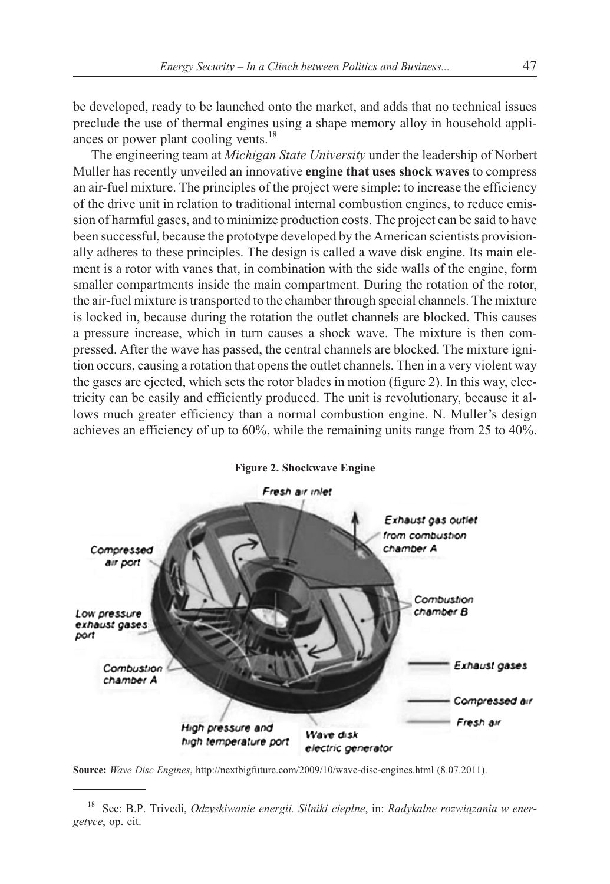be developed, ready to be launched onto the market, and adds that no technical issues preclude the use of thermal engines using a shape memory alloy in household appliances or power plant cooling vents.<sup>18</sup>

The engineering team at *Michigan State University* under the leadership of Norbert Muller has recently unveiled an innovative **engine that uses shock waves** to compress an air-fuel mixture. The principles of the project were simple: to increase the efficiency of the drive unit in relation to traditional internal combustion engines, to reduce emission of harmful gases, and to minimize production costs. The project can be said to have been successful, because the prototype developed by the American scientists provisionally adheres to these principles. The design is called a wave disk engine. Its main element is a rotor with vanes that, in combination with the side walls of the engine, form smaller compartments inside the main compartment. During the rotation of the rotor, the air-fuel mixture is transported to the chamber through special channels. The mixture is locked in, because during the rotation the outlet channels are blocked. This causes a pressure increase, which in turn causes a shock wave. The mixture is then compressed. After the wave has passed, the central channels are blocked. The mixture ignition occurs, causing a rotation that opens the outlet channels. Then in a very violent way the gases are ejected, which sets the rotor blades in motion (figure 2). In this way, electricity can be easily and efficiently produced. The unit is revolutionary, because it allows much greater efficiency than a normal combustion engine. N. Muller's design achieves an efficiency of up to 60%, while the remaining units range from 25 to 40%.



**Figure 2. Shockwave Engine**

**Source:** *Wave Disc Engines*, http://nextbigfuture.com/2009/10/wave-disc-engines.html (8.07.2011).

<sup>&</sup>lt;sup>18</sup> See: B.P. Trivedi, Odzyskiwanie energii. Silniki cieplne, in: Radykalne rozwiązania w ener*getyce*, op. cit.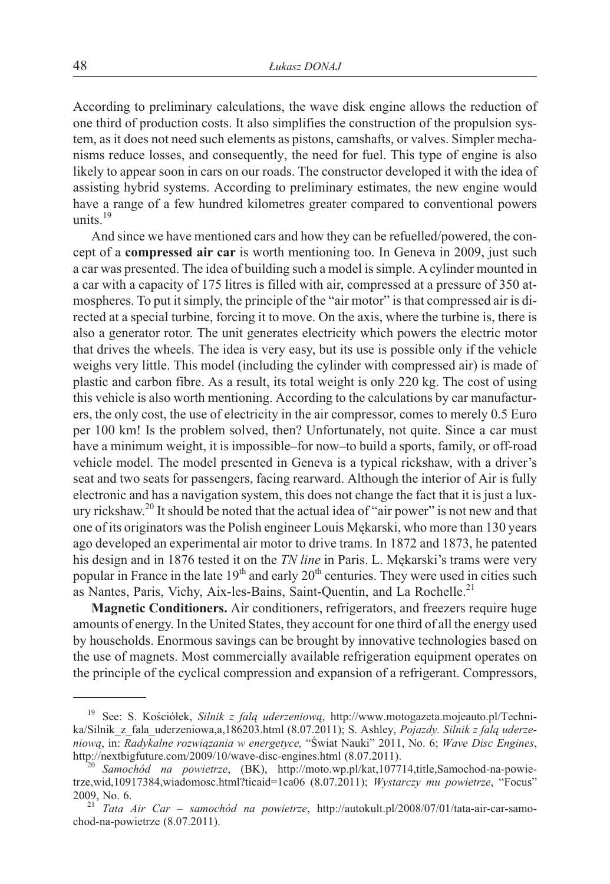According to preliminary calculations, the wave disk engine allows the reduction of one third of production costs. It also simplifies the construction of the propulsion system, as it does not need such elements as pistons, camshafts, or valves. Simpler mechanisms reduce losses, and consequently, the need for fuel. This type of engine is also likely to appear soon in cars on our roads. The constructor developed it with the idea of assisting hybrid systems. According to preliminary estimates, the new engine would have a range of a few hundred kilometres greater compared to conventional powers units $19$ 

And since we have mentioned cars and how they can be refuelled/powered, the concept of a **compressed air car** is worth mentioning too. In Geneva in 2009, just such a car was presented. The idea of building such a model is simple. A cylinder mounted in a car with a capacity of 175 litres is filled with air, compressed at a pressure of 350 atmospheres. To put it simply, the principle of the "air motor" is that compressed air is directed at a special turbine, forcing it to move. On the axis, where the turbine is, there is also a generator rotor. The unit generates electricity which powers the electric motor that drives the wheels. The idea is very easy, but its use is possible only if the vehicle weighs very little. This model (including the cylinder with compressed air) is made of plastic and carbon fibre. As a result, its total weight is only 220 kg. The cost of using this vehicle is also worth mentioning. According to the calculations by car manufacturers, the only cost, the use of electricity in the air compressor, comes to merely 0.5 Euro per 100 km! Is the problem solved, then? Unfortunately, not quite. Since a car must have a minimum weight, it is impossible**–**for now**–**to build a sports, family, or off-road vehicle model. The model presented in Geneva is a typical rickshaw, with a driver's seat and two seats for passengers, facing rearward. Although the interior of Air is fully electronic and has a navigation system, this does not change the fact that it is just a luxury rickshaw.<sup>20</sup> It should be noted that the actual idea of "air power" is not new and that one of its originators was the Polish engineer Louis Mękarski, who more than 130 years ago developed an experimental air motor to drive trams. In 1872 and 1873, he patented his design and in 1876 tested it on the *TN line* in Paris. L. Mękarski's trams were very popular in France in the late  $19<sup>th</sup>$  and early  $20<sup>th</sup>$  centuries. They were used in cities such as Nantes, Paris, Vichy, Aix-les-Bains, Saint-Quentin, and La Rochelle.<sup>21</sup>

**Magnetic Conditioners.** Air conditioners, refrigerators, and freezers require huge amounts of energy. In the United States, they account for one third of all the energy used by households. Enormous savings can be brought by innovative technologies based on the use of magnets. Most commercially available refrigeration equipment operates on the principle of the cyclical compression and expansion of a refrigerant. Compressors,

<sup>&</sup>lt;sup>19</sup> See: S. Kościółek, *Silnik z falą uderzeniową*, http://www.motogazeta.mojeauto.pl/Technika/Silnik\_z\_fala\_uderzeniowa,a,186203.html (8.07.2011); S. Ashley, *Pojazdy. Silnik z fal¹ uderzeniową*, in: *Radykalne rozwiązania w energetyce*, "Świat Nauki" 2011, No. 6; *Wave Disc Engines*, http://nextbigfuture.com/2009/10/wave-disc-engines.html (8.07.2011).

<sup>&</sup>lt;sup>20</sup> Samochód na powietrze, (BK), http://moto.wp.pl/kat,107714,title,Samochod-na-powietrze,wid,10917384,wiadomosc.html?ticaid=1ca06 (8.07.2011); *Wystarczy mu powietrze*, "Focus"

<sup>2009,</sup> No. 6. <sup>21</sup> *Tata Air Car – samochód na powietrze*, http://autokult.pl/2008/07/01/tata-air-car-samochod-na-powietrze (8.07.2011).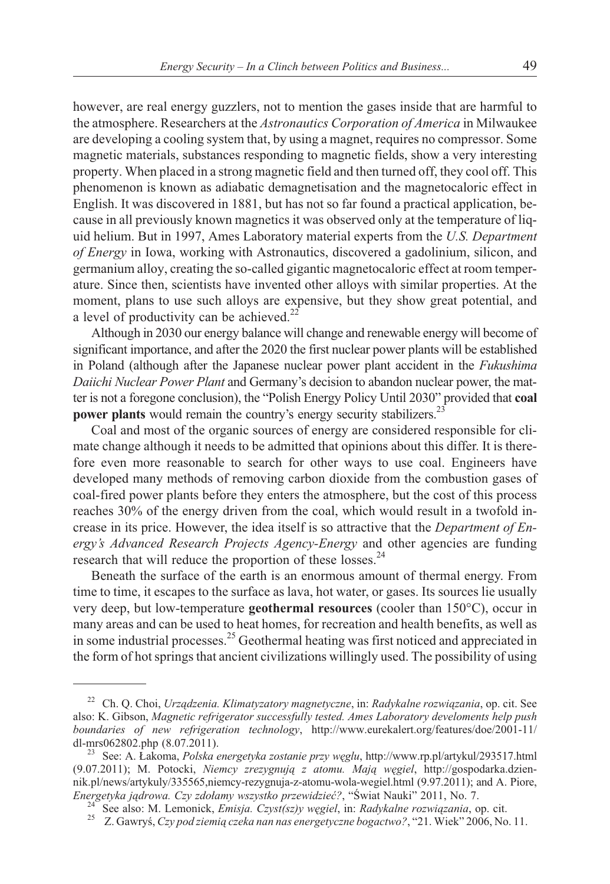however, are real energy guzzlers, not to mention the gases inside that are harmful to the atmosphere. Researchers at the *Astronautics Corporation of America* in Milwaukee are developing a cooling system that, by using a magnet, requires no compressor. Some magnetic materials, substances responding to magnetic fields, show a very interesting property. When placed in a strong magnetic field and then turned off, they cool off. This phenomenon is known as adiabatic demagnetisation and the magnetocaloric effect in English. It was discovered in 1881, but has not so far found a practical application, because in all previously known magnetics it was observed only at the temperature of liquid helium. But in 1997, Ames Laboratory material experts from the *U.S. Department of Energy* in Iowa, working with Astronautics, discovered a gadolinium, silicon, and germanium alloy, creating the so-called gigantic magnetocaloric effect at room temperature. Since then, scientists have invented other alloys with similar properties. At the moment, plans to use such alloys are expensive, but they show great potential, and a level of productivity can be achieved.<sup>22</sup>

Although in 2030 our energy balance will change and renewable energy will become of significant importance, and after the 2020 the first nuclear power plants will be established in Poland (although after the Japanese nuclear power plant accident in the *Fukushima Daiichi Nuclear Power Plant* and Germany's decision to abandon nuclear power, the matter is not a foregone conclusion), the "Polish Energy Policy Until 2030" provided that **coal power plants** would remain the country's energy security stabilizers.<sup>23</sup>

Coal and most of the organic sources of energy are considered responsible for climate change although it needs to be admitted that opinions about this differ. It is therefore even more reasonable to search for other ways to use coal. Engineers have developed many methods of removing carbon dioxide from the combustion gases of coal-fired power plants before they enters the atmosphere, but the cost of this process reaches 30% of the energy driven from the coal, which would result in a twofold increase in its price. However, the idea itself is so attractive that the *Department of Energy's Advanced Research Projects Agency-Energy* and other agencies are funding research that will reduce the proportion of these losses.<sup>24</sup>

Beneath the surface of the earth is an enormous amount of thermal energy. From time to time, it escapes to the surface as lava, hot water, or gases. Its sources lie usually very deep, but low-temperature **geothermal resources** (cooler than 150°C), occur in many areas and can be used to heat homes, for recreation and health benefits, as well as in some industrial processes.<sup>25</sup> Geothermal heating was first noticed and appreciated in the form of hot springs that ancient civilizations willingly used. The possibility of using

<sup>&</sup>lt;sup>22</sup> Ch. Q. Choi, *Urządzenia. Klimatyzatory magnetyczne*, in: *Radykalne rozwiązania*, op. cit. See also: K. Gibson, *Magnetic refrigerator successfully tested. Ames Laboratory develoments help push boundaries of new refrigeration technology*, http://www.eurekalert.org/features/doe/2001-11/ dl-mrs062802.php (8.07.2011). <sup>23</sup> See: A. £akoma, *Polska energetyka zostanie przy wêglu*, http://www.rp.pl/artykul/293517.html

<sup>(9.07.2011);</sup> M. Potocki, *Niemcy zrezygnują z atomu. Mają węgiel*, http://gospodarka.dziennik.pl/news/artykuly/335565,niemcy-rezygnuja-z-atomu-wola-wegiel.html (9.97.2011); and A. Piore, *Enereetyka jadrowa. Czy zdołamy wszystko przewidzieć?*. "Świat Nauki" 2011. No. 7.

<sup>&</sup>lt;sup>24</sup> See also: M. Lemonick, *Emisja. Czyst(sz)y węgiel*, in: *Radykalne rozwiązania*, op. cit.<br><sup>25</sup> Z. Gawryś, *Czy pod ziemią czeka nan nas energetyczne bogactwo?*, "21. Wiek" 2006, No. 11.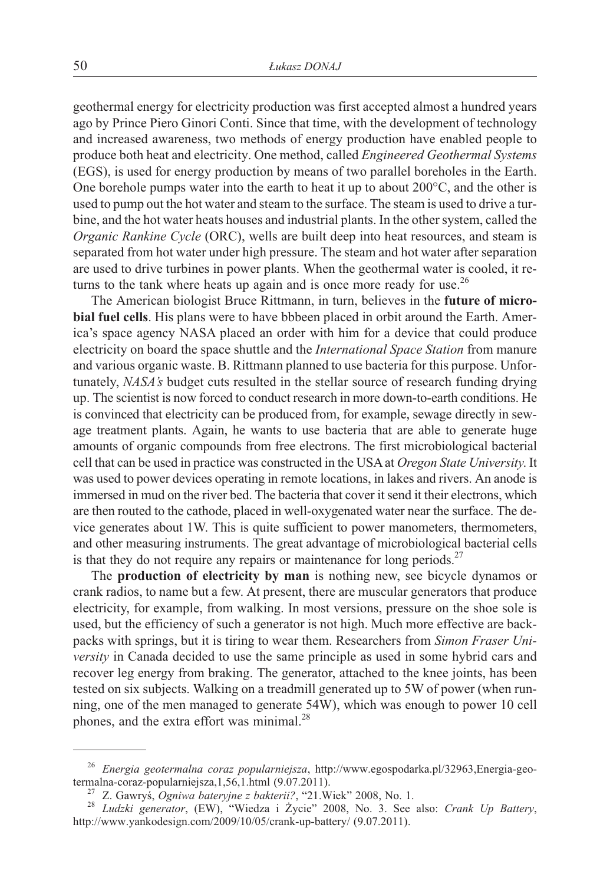geothermal energy for electricity production was first accepted almost a hundred years ago by Prince Piero Ginori Conti. Since that time, with the development of technology and increased awareness, two methods of energy production have enabled people to produce both heat and electricity. One method, called *Engineered Geothermal Systems* (EGS), is used for energy production by means of two parallel boreholes in the Earth. One borehole pumps water into the earth to heat it up to about 200°C, and the other is used to pump out the hot water and steam to the surface. The steam is used to drive a turbine, and the hot water heats houses and industrial plants. In the other system, called the *Organic Rankine Cycle* (ORC), wells are built deep into heat resources, and steam is separated from hot water under high pressure. The steam and hot water after separation are used to drive turbines in power plants. When the geothermal water is cooled, it returns to the tank where heats up again and is once more ready for use.<sup>26</sup>

The American biologist Bruce Rittmann, in turn, believes in the **future of microbial fuel cells**. His plans were to have bbbeen placed in orbit around the Earth. America's space agency NASA placed an order with him for a device that could produce electricity on board the space shuttle and the *International Space Station* from manure and various organic waste. B. Rittmann planned to use bacteria for this purpose. Unfortunately, *NASA's* budget cuts resulted in the stellar source of research funding drying up. The scientist is now forced to conduct research in more down-to-earth conditions. He is convinced that electricity can be produced from, for example, sewage directly in sewage treatment plants. Again, he wants to use bacteria that are able to generate huge amounts of organic compounds from free electrons. The first microbiological bacterial cell that can be used in practice was constructed in the USA at *Oregon State University*. It was used to power devices operating in remote locations, in lakes and rivers. An anode is immersed in mud on the river bed. The bacteria that cover it send it their electrons, which are then routed to the cathode, placed in well-oxygenated water near the surface. The device generates about 1W. This is quite sufficient to power manometers, thermometers, and other measuring instruments. The great advantage of microbiological bacterial cells is that they do not require any repairs or maintenance for long periods. $27$ 

The **production of electricity by man** is nothing new, see bicycle dynamos or crank radios, to name but a few. At present, there are muscular generators that produce electricity, for example, from walking. In most versions, pressure on the shoe sole is used, but the efficiency of such a generator is not high. Much more effective are backpacks with springs, but it is tiring to wear them. Researchers from *Simon Fraser University* in Canada decided to use the same principle as used in some hybrid cars and recover leg energy from braking. The generator, attached to the knee joints, has been tested on six subjects. Walking on a treadmill generated up to 5W of power (when running, one of the men managed to generate 54W), which was enough to power 10 cell phones, and the extra effort was minimal.<sup>28</sup>

<sup>26</sup> *Energia geotermalna coraz popularniejsza*, http://www.egospodarka.pl/32963,Energia-geo-

termalna-coraz-popularniejsza, 1,56, 1. html (9.07.2011).<br><sup>27</sup> Z. Gawryś, *Ogniwa bateryjne z bakterii?*, "21. Wiek" 2008, No. 1.<br><sup>28</sup> Ludzki generator, (EW), "Wiedza i Życie" 2008, No. 3. See also: *Crank Up Battery*, http://www.yankodesign.com/2009/10/05/crank-up-battery/ (9.07.2011).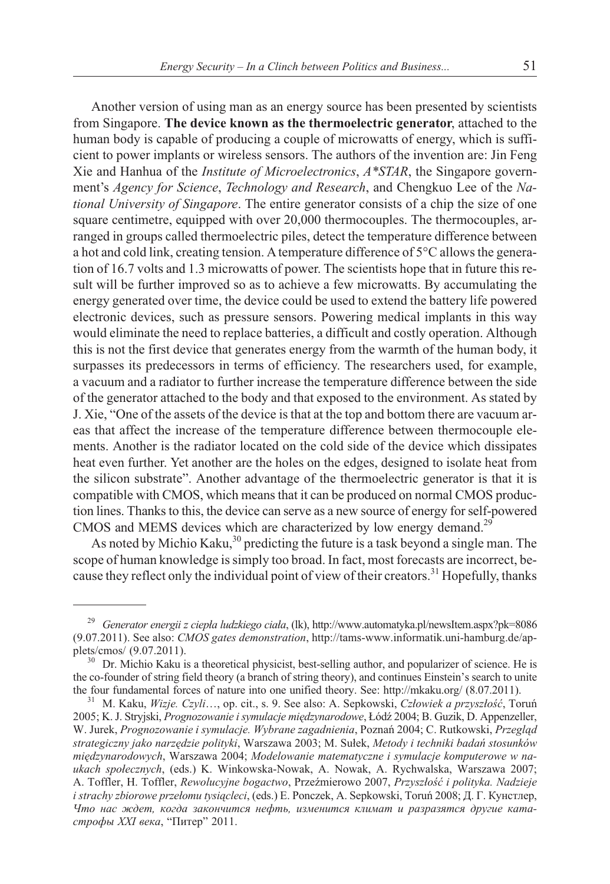Another version of using man as an energy source has been presented by scientists from Singapore. **The device known as the thermoelectric generator**, attached to the human body is capable of producing a couple of microwatts of energy, which is sufficient to power implants or wireless sensors. The authors of the invention are: Jin Feng Xie and Hanhua of the *Institute of Microelectronics*, *A\*STAR*, the Singapore government's *Agency for Science*, *Technology and Research*, and Chengkuo Lee of the *National University of Singapore*. The entire generator consists of a chip the size of one square centimetre, equipped with over 20,000 thermocouples. The thermocouples, arranged in groups called thermoelectric piles, detect the temperature difference between a hot and cold link, creating tension. Atemperature difference of 5°C allows the generation of 16.7 volts and 1.3 microwatts of power. The scientists hope that in future this result will be further improved so as to achieve a few microwatts. By accumulating the energy generated over time, the device could be used to extend the battery life powered electronic devices, such as pressure sensors. Powering medical implants in this way would eliminate the need to replace batteries, a difficult and costly operation. Although this is not the first device that generates energy from the warmth of the human body, it surpasses its predecessors in terms of efficiency. The researchers used, for example, a vacuum and a radiator to further increase the temperature difference between the side of the generator attached to the body and that exposed to the environment. As stated by J. Xie, "One of the assets of the device is that at the top and bottom there are vacuum areas that affect the increase of the temperature difference between thermocouple elements. Another is the radiator located on the cold side of the device which dissipates heat even further. Yet another are the holes on the edges, designed to isolate heat from the silicon substrate". Another advantage of the thermoelectric generator is that it is compatible with CMOS, which means that it can be produced on normal CMOS production lines. Thanks to this, the device can serve as a new source of energy for self-powered CMOS and MEMS devices which are characterized by low energy demand.<sup>29</sup>

As noted by Michio Kaku, $30$  predicting the future is a task beyond a single man. The scope of human knowledge is simply too broad. In fact, most forecasts are incorrect, because they reflect only the individual point of view of their creators.<sup>31</sup> Hopefully, thanks

<sup>&</sup>lt;sup>29</sup> Generator energii z ciepła ludzkiego ciała, (lk), http://www.automatyka.pl/newsItem.aspx?pk=8086 (9.07.2011). See also: *CMOS gates demonstration*, http://tams-www.informatik.uni-hamburg.de/applets/cmos/ (9.07.2011).<br><sup>30</sup> Dr. Michio Kaku is a theoretical physicist, best-selling author, and popularizer of science. He is

the co-founder of string field theory (a branch of string theory), and continues Einstein's search to unite the four fundamental forces of nature into one unified theory. See: http://mkaku.org/ (8.07.2011).<br><sup>31</sup> M. Kaku, *Wizje. Czyli*…, op. cit., s. 9. See also: A. Sepkowski, *Człowiek a przyszłość*, Toruń

<sup>2005;</sup> K. J. Stryjski, Prognozowanie i symulacje międzynarodowe, Łódź 2004; B. Guzik, D. Appenzeller, W. Jurek, *Prognozowanie i symulacie. Wybrane zagadnienia*, Poznań 2004; C. Rutkowski, *Przeglad strategiczny jako narzêdzie polityki*, Warszawa 2003; M. Su³ek, *Metody i techniki badañ stosunków miêdzynarodowych*, Warszawa 2004; *Modelowanie matematyczne i symulacje komputerowe w naukach spo³ecznych*, (eds.) K. Winkowska-Nowak, A. Nowak, A. Rychwalska, Warszawa 2007; A. Toffler, H. Toffler, *Rewolucyjne bogactwo*, Przeźmierowo 2007, Przyszłość i polityka. Nadzieje *i strachy zbiorowe przełomu tysiącleci*, (eds.) E. Ponczek, A. Sepkowski, Toruń 2008; Д. Г. Кунстлер, Что нас ждет, когда закончится нефть, изменится климат и разразятся другие катастрофы XXI века, "Питер" 2011.